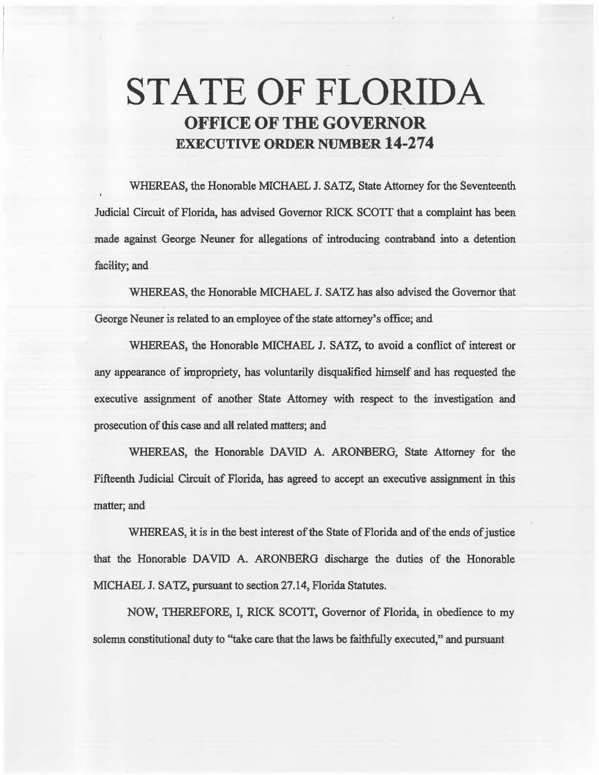# **STATE OF FLORIDA OFFICE OF THE GOVERNOR EXECUTIVE ORDER NUMBER 14-274**

WHEREAS, the Honorable MICHAEL J. SATZ, State Attorney for the Seventeenth Judicial Circuit of Florida, has advised Governor RICK SCOTT that a complaint has been made against George Neuner for allegations of introducing contraband into a detention facility; and

WHEREAS, the Honorable MICHAEL J. SATZ has also advised the Governor that George Neuner is related to an employee of the state attorney's office; and

WHEREAS, the Honorable MICHAEL J. SATZ, to avoid a conflict of interest or any appearance of impropriety, has voluntarily disqualified himself and has requested the executive assignment of another State Attorney with respect to the investigation and prosecution of this case and all related matters; and

WHEREAS, the Honorable DAVID A. ARONBERG, State Attorney for the Fifteenth Judicial Circuit of Florida, has agreed to accept an executive assignment in this matter; and

WHEREAS, it is in the best interest of the State of Florida and of the ends of justice that the Honorable DAVID A. ARONBERG discharge the duties of the Honorable MICHAEL J. SATZ, pursuant to section 27.14, Florida Statutes.

NOW, THEREFORE, I, RICK SCOTT, Governor of Florida, in obedience to my solemn constitutional duty to "take care that the laws be faithfully executed," and pursuant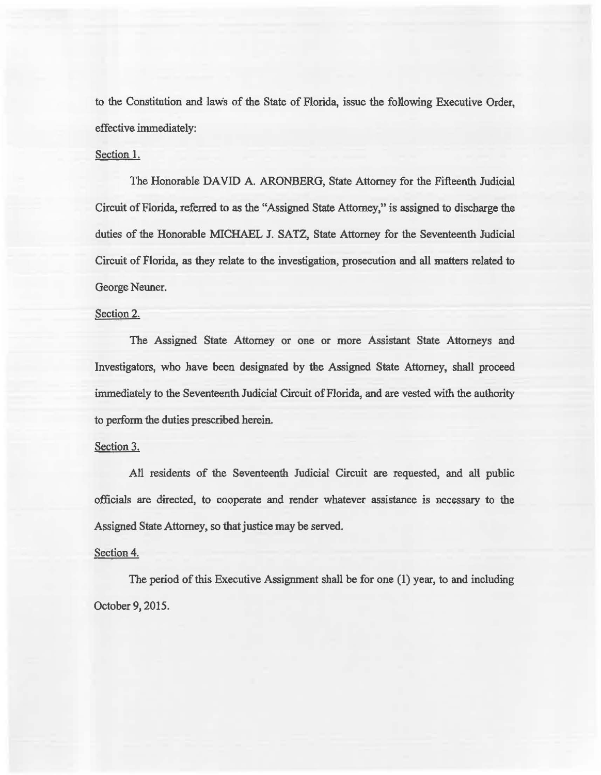to the Constitution and laws of the State of Florida, issue the folowing Executive Order, effective immediately:

## Section 1.

The Honorable DAVID A. ARONBERG, State Attorney for the Fifteenth Judicial Circuit of Florida, referred to as the "Assigned State Attorney," is assigned to discharge the duties of the Honorable MICHAEL J. SATZ, State Attorney for the Seventeenth Judicial Circuit of Florida, as they relate to the investigation, prosecution and all matters related to George Neuner.

### Section 2.

The Assigned State Attorney or one or more Assistant State Attorneys and Investigators, who have been designated by the Assigned State Attorney, shall proceed immediately to the Seventeenth Judicial Circuit of Florida, and are vested with the authority to perform the duties prescribed herein.

# Section 3.

All residents of the Seventeenth Judicial Circuit are requested, and all public officials are directed, to cooperate and render whatever assistance is necessary to the Assigned State Attorney, so that justice may be served.

## Section 4.

The period of this Executive Assignment shall be for one  $(1)$  year, to and including October 9, 2015.